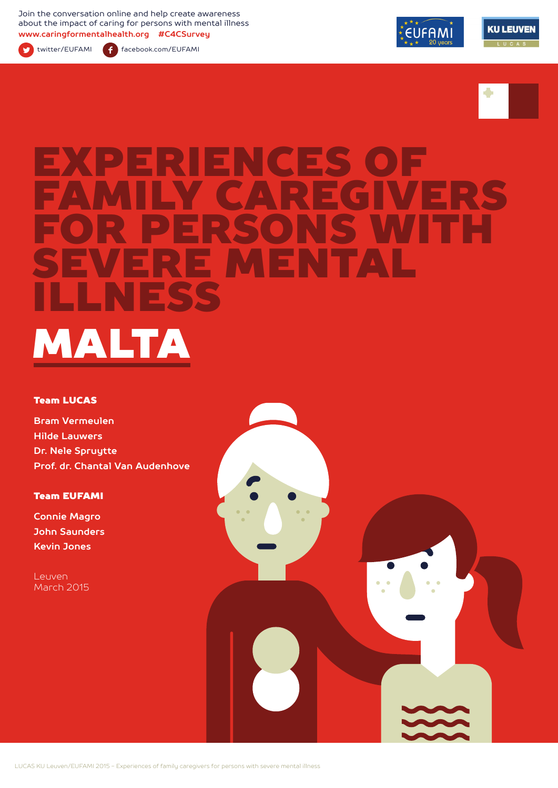Join the conversation online and help create awareness about the impact of caring for persons with mental illness **www.caringformentalhealth.org #C4CSurvey**



twitter/EUFAMI facebook.com/EUFAMI





# ENCES<br>CAPEC FAMILY CAREGIVERS FOR PERSONS WITH SEVERE MENTAL ILLNESS MALTA

#### Team LUCAS

**Bram Vermeulen Hilde Lauwers Dr. Nele Spruytte Prof. dr. Chantal Van Audenhove**

#### Team EUFAMI

**Connie Magro John Saunders Kevin Jones**

Leuven March 2015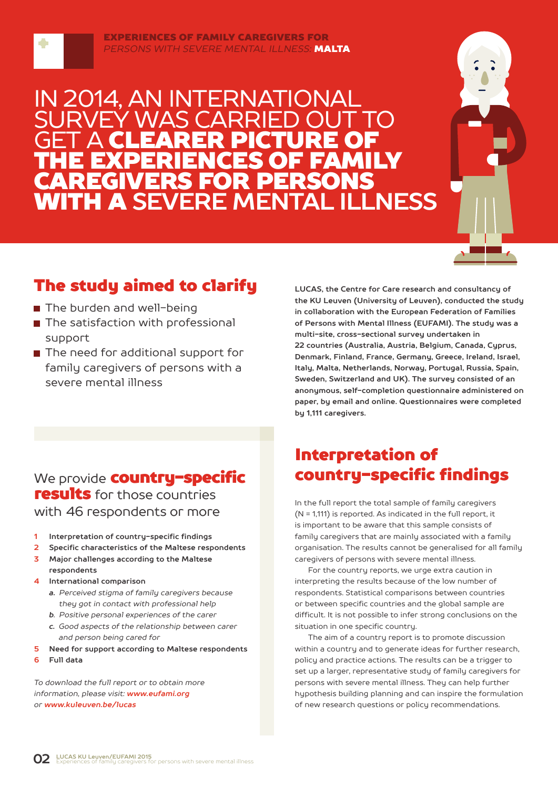

#### EXPERIENCES OF FAMILY CAREGIVERS FOR *PERSONS WITH SEVERE MENTAL ILLNESS:* MALTA

### IN 2014, AN INTERNATIONAL WAS CARRIE **GET A CLEARER PICTURE OF** THE EXPERIENCES OF FAMILY CAREGIVERS FOR PERSONS WITH A **SEVERE MENTAL ILLNESS**



### The study aimed to clarify

- The burden and well-being
- The satisfaction with professional support
- The need for additional support for family caregivers of persons with a severe mental illness

**LUCAS, the Centre for Care research and consultancy of the KU Leuven (University of Leuven), conducted the study in collaboration with the European Federation of Families of Persons with Mental Illness (EUFAMI). The study was a multi-site, cross-sectional survey undertaken in 22 countries (Australia, Austria, Belgium, Canada, Cyprus, Denmark, Finland, France, Germany, Greece, Ireland, Israel, Italy, Malta, Netherlands, Norway, Portugal, Russia, Spain, Sweden, Switzerland and UK). The survey consisted of an anonymous, self-completion questionnaire administered on paper, by email and online. Questionnaires were completed by 1,111 caregivers.** 

### We provide **country-specific** results for those countries with 46 respondents or more

- **1 Interpretation of country-specific findings**
- **2 Specific characteristics of the Maltese respondents**
- **3 Major challenges according to the Maltese respondents**
- **4 International comparison**
	- *a. Perceived stigma of family caregivers because they got in contact with professional help*
	- *b. Positive personal experiences of the carer*
	- *c. Good aspects of the relationship between carer and person being cared for*
- **5 Need for support according to Maltese respondents**
- **6 Full data**

*To download the full report or to obtain more information, please visit: www.eufami.org or www.kuleuven.be/lucas*

### Interpretation of country-specific findings

In the full report the total sample of family caregivers (N = 1,111) is reported. As indicated in the full report, it is important to be aware that this sample consists of family caregivers that are mainly associated with a family organisation. The results cannot be generalised for all family caregivers of persons with severe mental illness.

For the country reports, we urge extra caution in interpreting the results because of the low number of respondents. Statistical comparisons between countries or between specific countries and the global sample are difficult. It is not possible to infer strong conclusions on the situation in one specific country.

The aim of a country report is to promote discussion within a country and to generate ideas for further research, policy and practice actions. The results can be a trigger to set up a larger, representative study of family caregivers for persons with severe mental illness. They can help further hypothesis building planning and can inspire the formulation of new research questions or policy recommendations.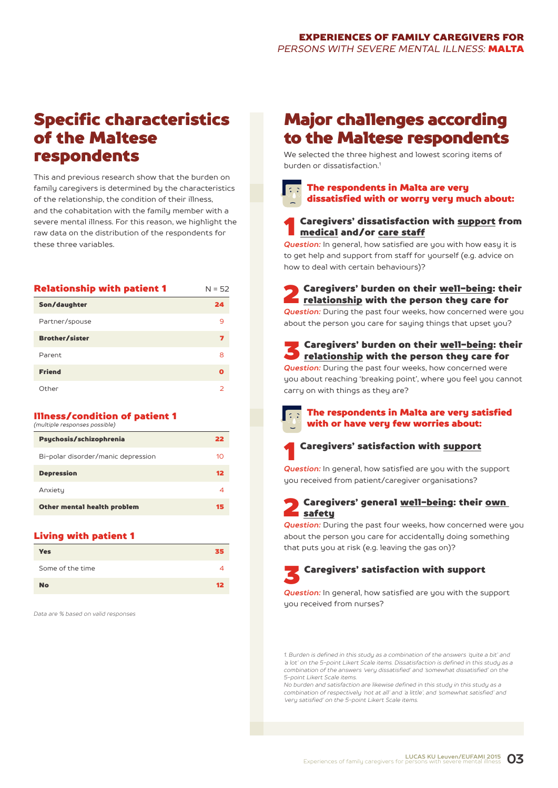### Specific characteristics of the Maltese respondents

This and previous research show that the burden on family caregivers is determined by the characteristics of the relationship, the condition of their illness, and the cohabitation with the family member with a severe mental illness. For this reason, we highlight the raw data on the distribution of the respondents for these three variables.

| <b>Relationship with patient 1</b> | $N = 52$ |
|------------------------------------|----------|
| Son/daughter                       | 24       |
| Partner/spouse                     | 9        |
| <b>Brother/sister</b>              | 7        |
| Parent                             | 8        |
| <b>Friend</b>                      | O        |
| Other                              | フ        |

#### Illness/condition of patient 1 *(multiple responses possible)*

| Psychosis/schizophrenia            | 22 |
|------------------------------------|----|
| Bi-polar disorder/manic depression | 10 |
| <b>Depression</b>                  | 12 |
| Anxiety                            | 4  |
| Other mental health problem        | 15 |

#### Living with patient 1

| <b>Yes</b>       | 35      |
|------------------|---------|
| Some of the time |         |
| <b>No</b>        | $12 \,$ |

*Data are % based on valid responses*

### Major challenges according to the Maltese respondents

We selected the three highest and lowest scoring items of burden or dissatisfaction<sup>1</sup>



### Caregivers' dissatisfaction with support from medical and/or care staff

*Question:* In general, how satisfied are you with how easy it is to get help and support from staff for yourself (e.g. advice on how to deal with certain behaviours)?

- **2** Caregivers' burden on their <u>well-being</u>: their<br>relationship with the person they care for *Question:* During the past four weeks, how concerned were you about the person you care for saying things that upset you?
- S Caregivers' burden on their <u>well-being</u>: their<br><u>relationship</u> with the person they care for *Question:* During the past four weeks, how concerned were you about reaching 'breaking point', where you feel you cannot
- carry on with things as they are?
	- The respondents in Malta are very satisfied with or have very few worries about:



**Question:** In general, how satisfied are you with the support you received from patient/caregiver organisations?

#### 2 Caregivers' general well-being: their own safety

*Question:* During the past four weeks, how concerned were you about the person you care for accidentally doing something that puts you at risk (e.g. leaving the gas on)?

3 Caregivers' satisfaction with support

*Question:* In general, how satisfied are you with the support uou received from nurses?

*1. Burden is defined in this study as a combination of the answers 'quite a bit' and 'a lot' on the 5-point Likert Scale items. Dissatisfaction is defined in this study as a combination of the answers 'very dissatisfied' and 'somewhat dissatisfied' on the 5-point Likert Scale items.*

*No burden and satisfaction are likewise defined in this study in this study as a combination of respectively 'not at all' and 'a little', and 'somewhat satisfied' and 'very satisfied' on the 5-point Likert Scale items.*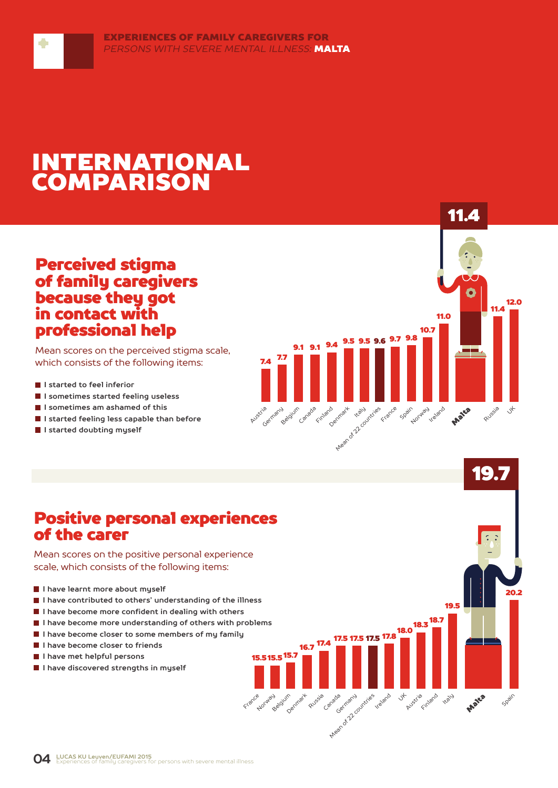## INTERNATIONAL COMPARISON

### Perceived stigma of family caregivers because they got in contact with professional help

Mean scores on the perceived stigma scale, which consists of the following items:

**I** I started to feel inferior

۰

- **I sometimes started feeling useless**
- **I sometimes am ashamed of this**
- **I started feeling less capable than before**
- **I started doubting myself**



19.7

**20.2** 

Spain

Malta

19.5

 $18.3\frac{18.7}{9}$ 

Austria Finland **ITL** 

17.5 <sup>17.8</sup>

Ireland Jt

16.7<sup>17.4</sup> 17.5 17.5

Canada

Arean of 22 countries

Russie

15.7 15.5 15.5

France Belgium Denmark

### Positive personal experiences of the carer

Mean scores on the positive personal experience scale, which consists of the following items:

- **I have learnt more about myself**
- **I have contributed to others' understanding of the illness**
- **I have become more confident in dealing with others**
- **I have become more understanding of others with problems**
- **I have become closer to some members of my family**
- **I have become closer to friends**
- **I have met helpful persons**
- **I** I have discovered strengths in muself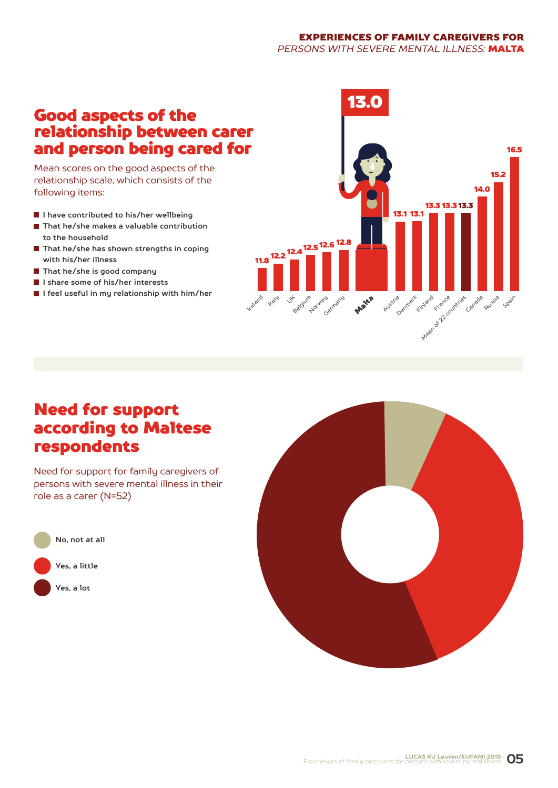#### EXPERIENCES OF FAMILY CAREGIVERS FOR *PERSONS WITH SEVERE MENTAL ILLNESS:* MALTA

### Good aspects of the relationship between carer and person being cared for

Mean scores on the good aspects of the relationship scale, which consists of the following items:

- **I have contributed to his/her wellbeing**
- **That he/she makes a valuable contribution to the household**
- **That he/she has shown strengths in coping with his/her illness**
- **That he/she is good company**
- **I share some of his/her interests**
- **I feel useful in my relationship with him/her**



### Need for support according to Maltese respondents

Need for support for family caregivers of persons with severe mental illness in their role as a carer (N=52)



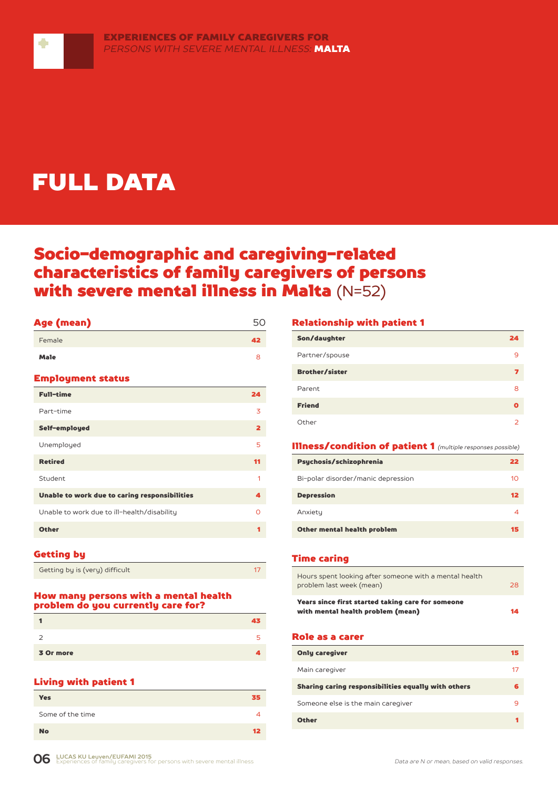

# FULL DATA

### Socio-demographic and caregiving-related characteristics of family caregivers of persons with severe mental illness in Malta (N=52)

| Age (mean)                                    | 50                      |
|-----------------------------------------------|-------------------------|
| Female                                        | 42                      |
| <b>Male</b>                                   | 8                       |
| <b>Employment status</b>                      |                         |
| <b>Full-time</b>                              | 24                      |
| Part-time                                     | 3                       |
| Self-employed                                 | $\overline{\mathbf{2}}$ |
| Unemployed                                    | 5                       |
| <b>Retired</b>                                | 11                      |
| Student                                       | 1                       |
| Unable to work due to caring responsibilities | 4                       |
| Unable to work due to ill-health/disability   | $\Omega$                |
| <b>Other</b>                                  | 1                       |
|                                               |                         |

#### Getting by

| Getting by is (very) difficult |  |
|--------------------------------|--|

#### How many persons with a mental health problem do you currently care for?

|           | 43 |
|-----------|----|
| ∍         | 5  |
| 3 Or more |    |

#### Living with patient 1

| <b>Yes</b>       | 35 |
|------------------|----|
| Some of the time | 4  |
| <b>No</b>        | 12 |

#### Relationship with patient 1

| Son/daughter          | 24 |
|-----------------------|----|
| Partner/spouse        | 9  |
| <b>Brother/sister</b> | 7  |
| Parent                | 8  |
| <b>Friend</b>         |    |
| Other                 | っ  |

#### Illness/condition of patient 1 *(multiple responses possible)*

| Psychosis/schizophrenia            | 22 |
|------------------------------------|----|
| Bi-polar disorder/manic depression | 10 |
| <b>Depression</b>                  | 12 |
| Anxiety                            |    |
| Other mental health problem        | 15 |

#### Time caring

| Years since first started taking care for someone<br>with mental health problem (mean)<br>14 |  |
|----------------------------------------------------------------------------------------------|--|
| Hours spent looking after someone with a mental health<br>problem last week (mean)<br>28     |  |

#### Role as a carer

| <b>Only caregiver</b>                               | 15 |
|-----------------------------------------------------|----|
| Main caregiver                                      | 17 |
| Sharing caring responsibilities equally with others |    |
| Someone else is the main caregiver                  | q  |
| <b>Other</b>                                        |    |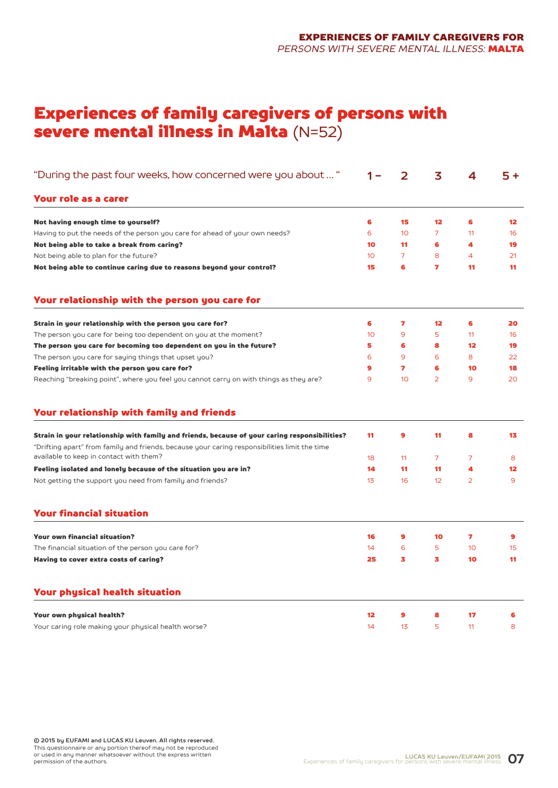### Experiences of family caregivers of persons with severe mental illness in Malta (N=52)

| "During the past four weeks, how concerned were you about  "                                                                                                                                   |    | 2              | 3              | 4               | 5 +               |
|------------------------------------------------------------------------------------------------------------------------------------------------------------------------------------------------|----|----------------|----------------|-----------------|-------------------|
| Your role as a carer                                                                                                                                                                           |    |                |                |                 |                   |
| Not having enough time to yourself?                                                                                                                                                            | 6  | 15             | 12             | 6               | $12 \overline{ }$ |
| Having to put the needs of the person you care for ahead of your own needs?                                                                                                                    | 6  | 10             | $\overline{7}$ | 11              | 16                |
| Not being able to take a break from caring?                                                                                                                                                    | 10 | 11             | 6              | 4               | 19                |
| Not being able to plan for the future?                                                                                                                                                         | 10 | $\overline{7}$ | 8              | 4               | 21                |
| Not being able to continue caring due to reasons beyond your control?                                                                                                                          | 15 | 6              | 7              | 11              | 11                |
| Your relationship with the person you care for                                                                                                                                                 |    |                |                |                 |                   |
| Strain in your relationship with the person you care for?                                                                                                                                      | 6  | 7              | 12             | 6               | 20                |
| The person you care for being too dependent on you at the moment?                                                                                                                              | 10 | 9              | 5              | 11              | 16                |
| The person you care for becoming too dependent on you in the future?                                                                                                                           | 5  | 6              | 8              | $12 \,$         | 19                |
| The person you care for saying things that upset you?                                                                                                                                          | 6  | 9              | 6              | 8               | 22                |
| Feeling irritable with the person you care for?                                                                                                                                                | 9  | 7              | 6              | 10              | 18                |
| Reaching "breaking point", where you feel you cannot carry on with things as they are?                                                                                                         | 9  | 10             | $\overline{2}$ | 9               | 20                |
| Your relationship with family and friends                                                                                                                                                      |    |                |                |                 |                   |
| Strain in your relationship with family and friends, because of your caring responsibilities?<br>"Drifting apart" from family and friends, because your caring responsibilities limit the time | 11 | 9              | 11             | 8               | 13                |
| available to keep in contact with them?                                                                                                                                                        | 18 | 11             | 7              | 7               | 8                 |
| Feeling isolated and lonely because of the situation you are in?                                                                                                                               | 14 | 11             | 11             | 4               | 12                |
| Not getting the support you need from family and friends?                                                                                                                                      | 13 | 16             | 12             | 2               | 9                 |
| <b>Your financial situation</b>                                                                                                                                                                |    |                |                |                 |                   |
| <b>Your own financial situation?</b>                                                                                                                                                           | 16 | 9              | 10             | 7               | 9                 |
| The financial situation of the person you care for?                                                                                                                                            | 14 | 6              | 5              | 10 <sup>°</sup> | 15                |
| Having to cover extra costs of caring?                                                                                                                                                         | 25 | 3              | 3              | 10              | 11                |
| <b>Your physical health situation</b>                                                                                                                                                          |    |                |                |                 |                   |
| Your own physical health?                                                                                                                                                                      | 12 | 9              | 8              | 17              | 6                 |
| Your caring role making your physical health worse?                                                                                                                                            | 14 | 13             | 5              | 11              | 8                 |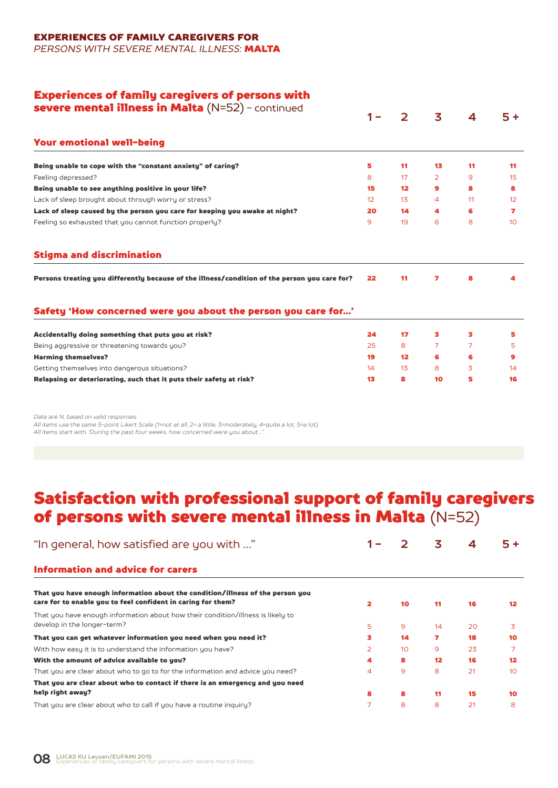#### EXPERIENCES OF FAMILY CAREGIVERS FOR

*PERSONS WITH SEVERE MENTAL ILLNESS:* MALTA

### Experiences of family caregivers of persons with

| <b>severe mental illness in Malta</b> $(N=52)$ - continued                                    |    | $\mathcal{P}$     | 3              |    | $5+$            |
|-----------------------------------------------------------------------------------------------|----|-------------------|----------------|----|-----------------|
| <b>Your emotional well-being</b>                                                              |    |                   |                |    |                 |
| Being unable to cope with the "constant anxiety" of caring?                                   | 5  | 11                | 13             | 11 | 11              |
| Feeling depressed?                                                                            | 8  | 17                | $\overline{2}$ | 9  | 15              |
| Being unable to see anything positive in your life?                                           | 15 | $12 \overline{ }$ | $\mathbf{9}$   | 8  | 8               |
| Lack of sleep brought about through worry or stress?                                          | 12 | 13 <sub>1</sub>   | 4              | 11 | 12 <sup>2</sup> |
| Lack of sleep caused by the person you care for keeping you awake at night?                   | 20 | 14                | 4              | 6  | 7               |
| Feeling so exhausted that you cannot function properly?                                       | 9  | 19                | 6              | 8  | 10 <sup>°</sup> |
| <b>Stigma and discrimination</b>                                                              |    |                   |                |    |                 |
| Persons treating you differently because of the illness/condition of the person you care for? | 22 | 11                | 7              | 8  | 4               |
|                                                                                               |    |                   |                |    |                 |
| Safety 'How concerned were you about the person you care for'                                 |    |                   |                |    |                 |
| Accidentally doing something that puts you at risk?                                           | 24 | 17                | з              | з  | 5               |
| Being aggressive or threatening towards you?                                                  | 25 | 8                 | $\overline{7}$ | 7  | 5.              |
| <b>Harming themselves?</b>                                                                    | 19 | 12 <sup>2</sup>   | 6              | 6  | 9               |
| Getting themselves into dangerous situations?                                                 | 14 | 13                | 8              | 3  | 14              |

*Data are N, based on valid responses.*

*All items use the same 5-point Likert Scale (1=not at all, 2= a little, 3=moderately, 4=quite a lot, 5=a lot). All items start with "During the past four weeks, how concerned were you about...".*

### Satisfaction with professional support of family caregivers of persons with severe mental illness in Malta (N=52)

| "In general, how satisfied are you with "                                                                                                      |                         |    | 3               | 4  | 5+              |
|------------------------------------------------------------------------------------------------------------------------------------------------|-------------------------|----|-----------------|----|-----------------|
| <b>Information and advice for carers</b>                                                                                                       |                         |    |                 |    |                 |
| That you have enough information about the condition/illness of the person you<br>care for to enable you to feel confident in caring for them? | $\overline{\mathbf{z}}$ | 10 | 11              | 16 | 12              |
| That you have enough information about how their condition/illness is likely to<br>develop in the longer-term?                                 | 5                       | 9  | 14              | 20 | 3               |
| That you can get whatever information you need when you need it?                                                                               | 3                       | 14 | 7               | 18 | 10              |
| With how easy it is to understand the information you have?                                                                                    | 2                       | 10 | 9               | 23 |                 |
| With the amount of advice available to you?                                                                                                    | 4                       | 8  | 12 <sup>2</sup> | 16 | 12              |
| That you are clear about who to go to for the information and advice you need?                                                                 | 4                       | 9  | 8               | 21 | 10 <sup>°</sup> |
| That you are clear about who to contact if there is an emergency and you need                                                                  |                         |    |                 |    |                 |
| help right away?                                                                                                                               | 8                       | 8  | 11              | 15 | 10              |
| That you are clear about who to call if you have a routine inquiry?                                                                            | 7                       | 8  | 8               | 21 | 8               |